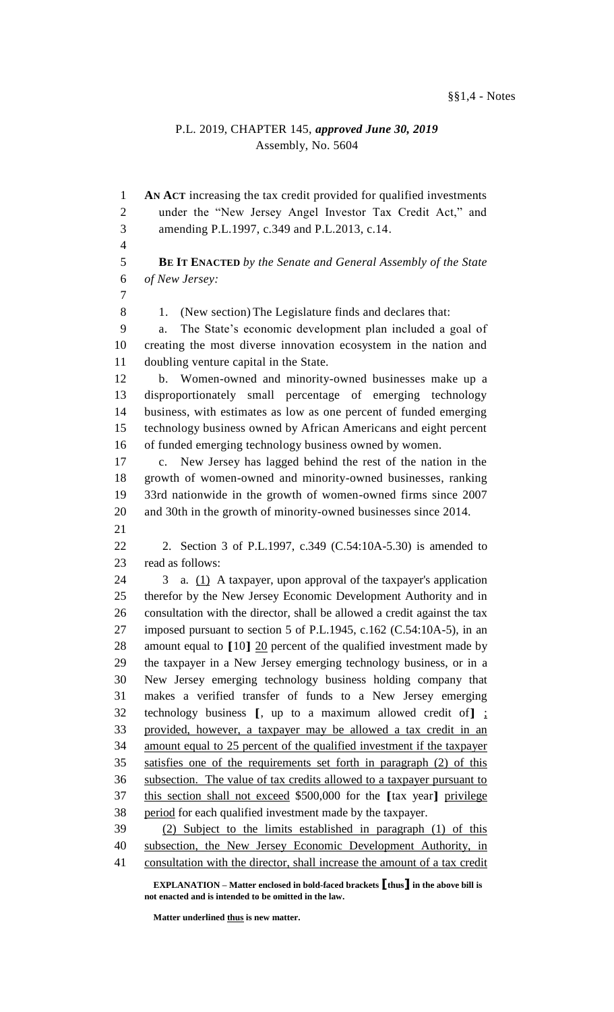## P.L. 2019, CHAPTER 145, *approved June 30, 2019* Assembly, No. 5604

 **AN ACT** increasing the tax credit provided for qualified investments under the "New Jersey Angel Investor Tax Credit Act," and amending P.L.1997, c.349 and P.L.2013, c.14. **BE IT ENACTED** *by the Senate and General Assembly of the State of New Jersey:* 8 1. (New section) The Legislature finds and declares that: a. The State's economic development plan included a goal of creating the most diverse innovation ecosystem in the nation and doubling venture capital in the State. b. Women-owned and minority-owned businesses make up a disproportionately small percentage of emerging technology business, with estimates as low as one percent of funded emerging technology business owned by African Americans and eight percent of funded emerging technology business owned by women. c. New Jersey has lagged behind the rest of the nation in the growth of women-owned and minority-owned businesses, ranking 33rd nationwide in the growth of women-owned firms since 2007 and 30th in the growth of minority-owned businesses since 2014. 2. Section 3 of P.L.1997, c.349 (C.54:10A-5.30) is amended to read as follows: 3 a. (1) A taxpayer, upon approval of the taxpayer's application therefor by the New Jersey Economic Development Authority and in consultation with the director, shall be allowed a credit against the tax imposed pursuant to section 5 of P.L.1945, c.162 (C.54:10A-5), in an amount equal to **[**10**]** 20 percent of the qualified investment made by the taxpayer in a New Jersey emerging technology business, or in a New Jersey emerging technology business holding company that makes a verified transfer of funds to a New Jersey emerging technology business **[**, up to a maximum allowed credit of**]** ; provided, however, a taxpayer may be allowed a tax credit in an amount equal to 25 percent of the qualified investment if the taxpayer satisfies one of the requirements set forth in paragraph (2) of this subsection. The value of tax credits allowed to a taxpayer pursuant to this section shall not exceed \$500,000 for the **[**tax year**]** privilege period for each qualified investment made by the taxpayer. (2) Subject to the limits established in paragraph (1) of this subsection, the New Jersey Economic Development Authority, in consultation with the director, shall increase the amount of a tax credit

**EXPLANATION – Matter enclosed in bold-faced brackets [thus] in the above bill is not enacted and is intended to be omitted in the law.**

**Matter underlined thus is new matter.**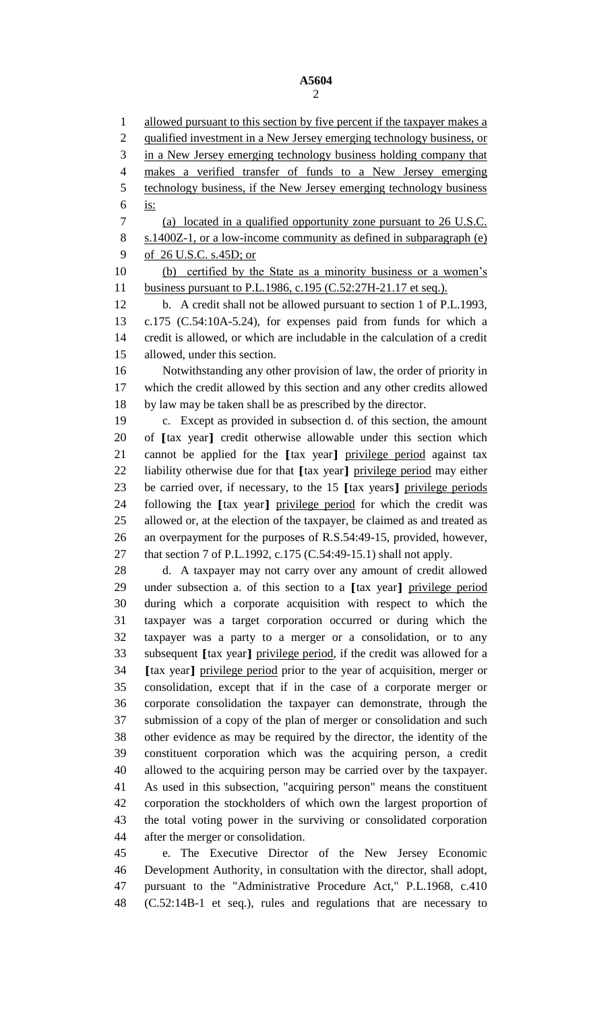1 allowed pursuant to this section by five percent if the taxpayer makes a 2 qualified investment in a New Jersey emerging technology business, or in a New Jersey emerging technology business holding company that makes a verified transfer of funds to a New Jersey emerging technology business, if the New Jersey emerging technology business is: (a) located in a qualified opportunity zone pursuant to 26 U.S.C. s.1400Z-1, or a low-income community as defined in subparagraph (e) 9 of 26 U.S.C. s.45D; or (b) certified by the State as a minority business or a women's business pursuant to P.L.1986, c.195 (C.52:27H-21.17 et seq.). b. A credit shall not be allowed pursuant to section 1 of P.L.1993, c.175 (C.54:10A-5.24), for expenses paid from funds for which a credit is allowed, or which are includable in the calculation of a credit allowed, under this section. Notwithstanding any other provision of law, the order of priority in which the credit allowed by this section and any other credits allowed by law may be taken shall be as prescribed by the director. c. Except as provided in subsection d. of this section, the amount of **[**tax year**]** credit otherwise allowable under this section which cannot be applied for the **[**tax year**]** privilege period against tax liability otherwise due for that **[**tax year**]** privilege period may either be carried over, if necessary, to the 15 **[**tax years**]** privilege periods following the **[**tax year**]** privilege period for which the credit was allowed or, at the election of the taxpayer, be claimed as and treated as an overpayment for the purposes of R.S.54:49-15, provided, however, that section 7 of P.L.1992, c.175 (C.54:49-15.1) shall not apply. d. A taxpayer may not carry over any amount of credit allowed under subsection a. of this section to a **[**tax year**]** privilege period during which a corporate acquisition with respect to which the taxpayer was a target corporation occurred or during which the taxpayer was a party to a merger or a consolidation, or to any subsequent **[**tax year**]** privilege period, if the credit was allowed for a **[**tax year**]** privilege period prior to the year of acquisition, merger or consolidation, except that if in the case of a corporate merger or corporate consolidation the taxpayer can demonstrate, through the submission of a copy of the plan of merger or consolidation and such other evidence as may be required by the director, the identity of the constituent corporation which was the acquiring person, a credit allowed to the acquiring person may be carried over by the taxpayer. As used in this subsection, "acquiring person" means the constituent corporation the stockholders of which own the largest proportion of the total voting power in the surviving or consolidated corporation after the merger or consolidation. e. The Executive Director of the New Jersey Economic

 Development Authority, in consultation with the director, shall adopt, pursuant to the "Administrative Procedure Act," P.L.1968, c.410 (C.52:14B-1 et seq.), rules and regulations that are necessary to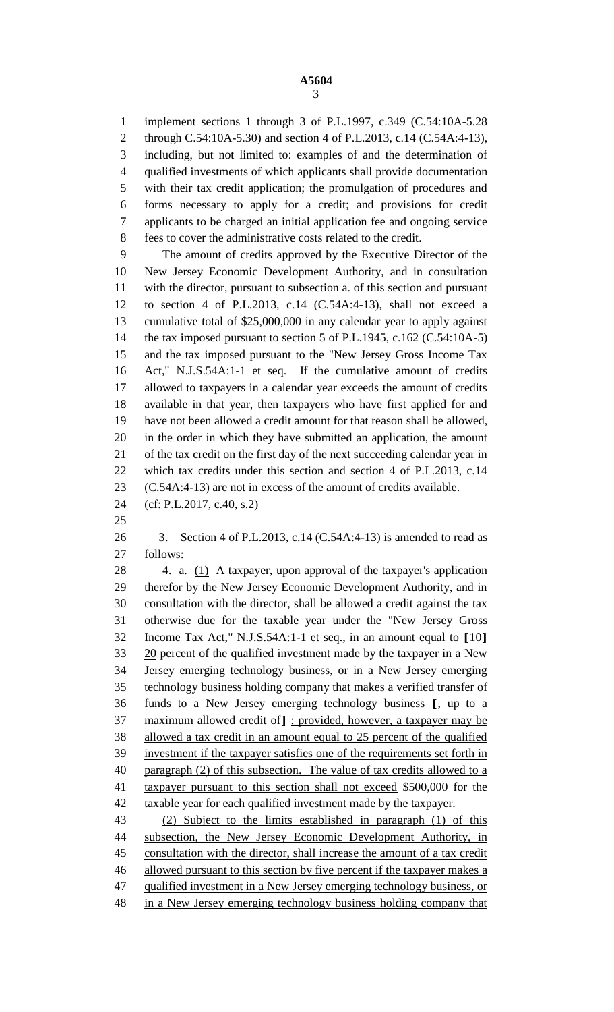implement sections 1 through 3 of P.L.1997, c.349 (C.54:10A-5.28 through C.54:10A-5.30) and section 4 of P.L.2013, c.14 (C.54A:4-13), including, but not limited to: examples of and the determination of qualified investments of which applicants shall provide documentation with their tax credit application; the promulgation of procedures and forms necessary to apply for a credit; and provisions for credit applicants to be charged an initial application fee and ongoing service fees to cover the administrative costs related to the credit.

 The amount of credits approved by the Executive Director of the New Jersey Economic Development Authority, and in consultation with the director, pursuant to subsection a. of this section and pursuant to section 4 of P.L.2013, c.14 (C.54A:4-13), shall not exceed a cumulative total of \$25,000,000 in any calendar year to apply against 14 the tax imposed pursuant to section 5 of P.L.1945, c.162 (C.54:10A-5) and the tax imposed pursuant to the "New Jersey Gross Income Tax Act," N.J.S.54A:1-1 et seq. If the cumulative amount of credits allowed to taxpayers in a calendar year exceeds the amount of credits available in that year, then taxpayers who have first applied for and have not been allowed a credit amount for that reason shall be allowed, in the order in which they have submitted an application, the amount of the tax credit on the first day of the next succeeding calendar year in which tax credits under this section and section 4 of P.L.2013, c.14 (C.54A:4-13) are not in excess of the amount of credits available.

- (cf: P.L.2017, c.40, s.2)
- 

 3. Section 4 of P.L.2013, c.14 (C.54A:4-13) is amended to read as follows:

28 4. a. (1) A taxpayer, upon approval of the taxpayer's application therefor by the New Jersey Economic Development Authority, and in consultation with the director, shall be allowed a credit against the tax otherwise due for the taxable year under the "New Jersey Gross Income Tax Act," N.J.S.54A:1-1 et seq., in an amount equal to **[**10**]** 20 percent of the qualified investment made by the taxpayer in a New Jersey emerging technology business, or in a New Jersey emerging technology business holding company that makes a verified transfer of funds to a New Jersey emerging technology business **[**, up to a maximum allowed credit of**]** ; provided, however, a taxpayer may be allowed a tax credit in an amount equal to 25 percent of the qualified investment if the taxpayer satisfies one of the requirements set forth in 40 paragraph  $(2)$  of this subsection. The value of tax credits allowed to a taxpayer pursuant to this section shall not exceed \$500,000 for the taxable year for each qualified investment made by the taxpayer. (2) Subject to the limits established in paragraph (1) of this

 subsection, the New Jersey Economic Development Authority, in consultation with the director, shall increase the amount of a tax credit 46 allowed pursuant to this section by five percent if the taxpayer makes a 47 qualified investment in a New Jersey emerging technology business, or 48 in a New Jersey emerging technology business holding company that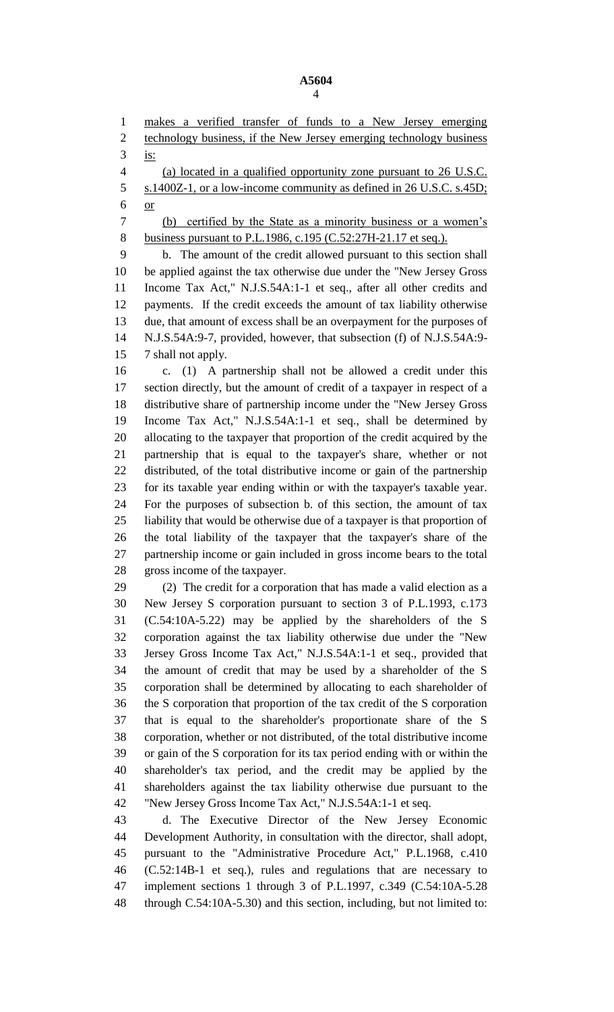**A5604** 

makes a verified transfer of funds to a New Jersey emerging

2 technology business, if the New Jersey emerging technology business is: (a) located in a qualified opportunity zone pursuant to 26 U.S.C. s.1400Z-1, or a low-income community as defined in 26 U.S.C. s.45D; or (b) certified by the State as a minority business or a women's 8 business pursuant to P.L.1986, c.195 (C.52:27H-21.17 et seq.). b. The amount of the credit allowed pursuant to this section shall be applied against the tax otherwise due under the "New Jersey Gross Income Tax Act," N.J.S.54A:1-1 et seq., after all other credits and payments. If the credit exceeds the amount of tax liability otherwise due, that amount of excess shall be an overpayment for the purposes of N.J.S.54A:9-7, provided, however, that subsection (f) of N.J.S.54A:9- 7 shall not apply. c. (1) A partnership shall not be allowed a credit under this section directly, but the amount of credit of a taxpayer in respect of a distributive share of partnership income under the "New Jersey Gross Income Tax Act," N.J.S.54A:1-1 et seq., shall be determined by allocating to the taxpayer that proportion of the credit acquired by the partnership that is equal to the taxpayer's share, whether or not distributed, of the total distributive income or gain of the partnership for its taxable year ending within or with the taxpayer's taxable year. For the purposes of subsection b. of this section, the amount of tax liability that would be otherwise due of a taxpayer is that proportion of the total liability of the taxpayer that the taxpayer's share of the partnership income or gain included in gross income bears to the total gross income of the taxpayer. (2) The credit for a corporation that has made a valid election as a New Jersey S corporation pursuant to section 3 of P.L.1993, c.173 (C.54:10A-5.22) may be applied by the shareholders of the S corporation against the tax liability otherwise due under the "New Jersey Gross Income Tax Act," N.J.S.54A:1-1 et seq., provided that the amount of credit that may be used by a shareholder of the S corporation shall be determined by allocating to each shareholder of the S corporation that proportion of the tax credit of the S corporation that is equal to the shareholder's proportionate share of the S corporation, whether or not distributed, of the total distributive income or gain of the S corporation for its tax period ending with or within the shareholder's tax period, and the credit may be applied by the shareholders against the tax liability otherwise due pursuant to the "New Jersey Gross Income Tax Act," N.J.S.54A:1-1 et seq. d. The Executive Director of the New Jersey Economic

 Development Authority, in consultation with the director, shall adopt, pursuant to the "Administrative Procedure Act," P.L.1968, c.410 (C.52:14B-1 et seq.), rules and regulations that are necessary to implement sections 1 through 3 of P.L.1997, c.349 (C.54:10A-5.28 through C.54:10A-5.30) and this section, including, but not limited to: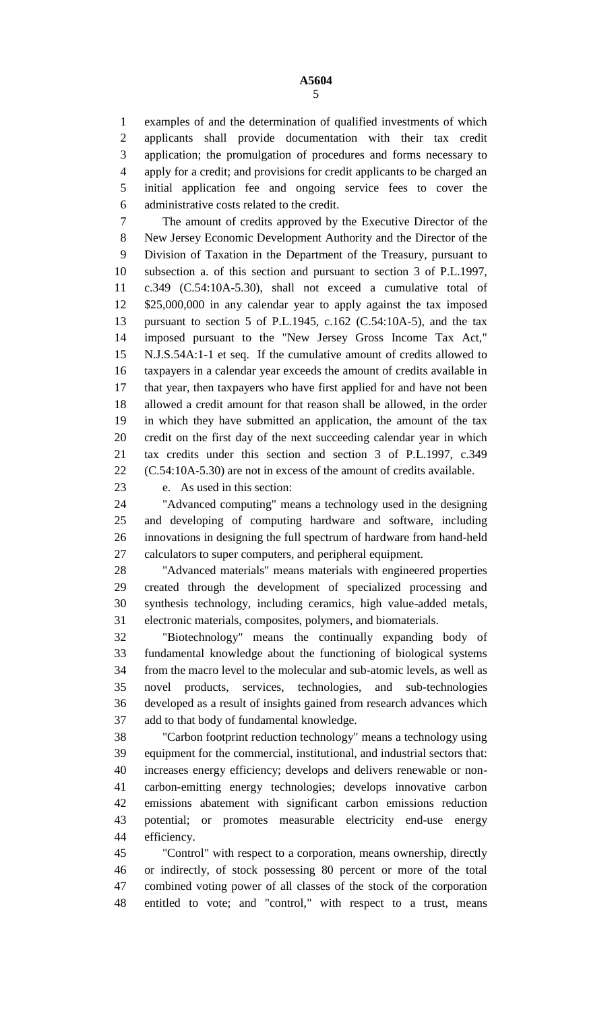examples of and the determination of qualified investments of which applicants shall provide documentation with their tax credit application; the promulgation of procedures and forms necessary to apply for a credit; and provisions for credit applicants to be charged an initial application fee and ongoing service fees to cover the administrative costs related to the credit.

 The amount of credits approved by the Executive Director of the New Jersey Economic Development Authority and the Director of the Division of Taxation in the Department of the Treasury, pursuant to subsection a. of this section and pursuant to section 3 of P.L.1997, c.349 (C.54:10A-5.30), shall not exceed a cumulative total of \$25,000,000 in any calendar year to apply against the tax imposed pursuant to section 5 of P.L.1945, c.162 (C.54:10A-5), and the tax imposed pursuant to the "New Jersey Gross Income Tax Act," N.J.S.54A:1-1 et seq. If the cumulative amount of credits allowed to taxpayers in a calendar year exceeds the amount of credits available in that year, then taxpayers who have first applied for and have not been allowed a credit amount for that reason shall be allowed, in the order in which they have submitted an application, the amount of the tax credit on the first day of the next succeeding calendar year in which tax credits under this section and section 3 of P.L.1997, c.349 (C.54:10A-5.30) are not in excess of the amount of credits available.

e. As used in this section:

 "Advanced computing" means a technology used in the designing and developing of computing hardware and software, including innovations in designing the full spectrum of hardware from hand-held calculators to super computers, and peripheral equipment.

 "Advanced materials" means materials with engineered properties created through the development of specialized processing and synthesis technology, including ceramics, high value-added metals, electronic materials, composites, polymers, and biomaterials.

 "Biotechnology" means the continually expanding body of fundamental knowledge about the functioning of biological systems from the macro level to the molecular and sub-atomic levels, as well as novel products, services, technologies, and sub-technologies developed as a result of insights gained from research advances which add to that body of fundamental knowledge.

 "Carbon footprint reduction technology" means a technology using equipment for the commercial, institutional, and industrial sectors that: increases energy efficiency; develops and delivers renewable or non- carbon-emitting energy technologies; develops innovative carbon emissions abatement with significant carbon emissions reduction potential; or promotes measurable electricity end-use energy efficiency.

 "Control" with respect to a corporation, means ownership, directly or indirectly, of stock possessing 80 percent or more of the total combined voting power of all classes of the stock of the corporation entitled to vote; and "control," with respect to a trust, means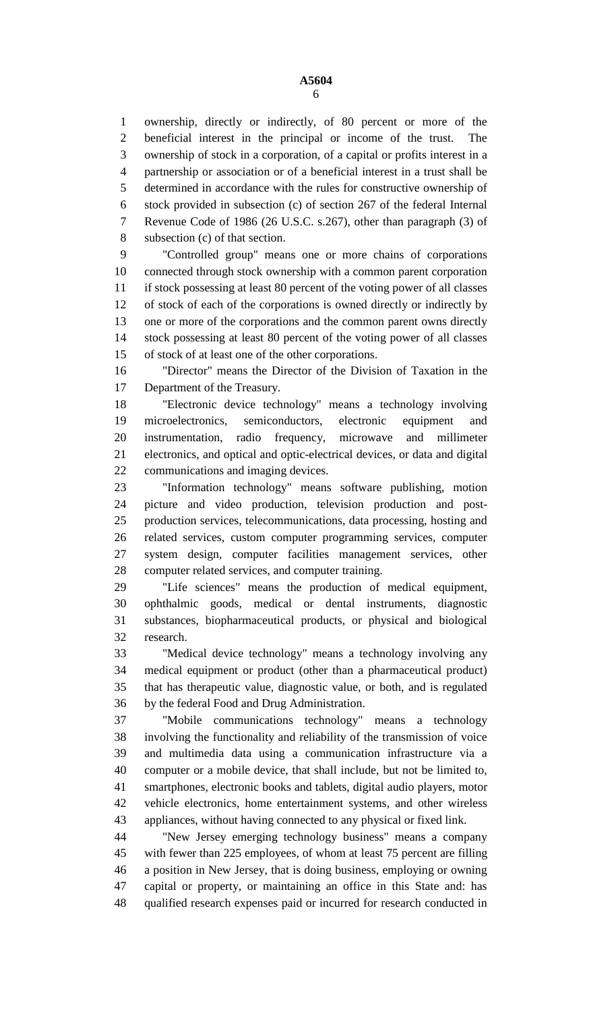ownership, directly or indirectly, of 80 percent or more of the beneficial interest in the principal or income of the trust. The ownership of stock in a corporation, of a capital or profits interest in a partnership or association or of a beneficial interest in a trust shall be determined in accordance with the rules for constructive ownership of stock provided in subsection (c) of section 267 of the federal Internal Revenue Code of 1986 (26 U.S.C. s.267), other than paragraph (3) of subsection (c) of that section.

 "Controlled group" means one or more chains of corporations connected through stock ownership with a common parent corporation if stock possessing at least 80 percent of the voting power of all classes of stock of each of the corporations is owned directly or indirectly by one or more of the corporations and the common parent owns directly stock possessing at least 80 percent of the voting power of all classes of stock of at least one of the other corporations.

 "Director" means the Director of the Division of Taxation in the Department of the Treasury.

 "Electronic device technology" means a technology involving microelectronics, semiconductors, electronic equipment and instrumentation, radio frequency, microwave and millimeter electronics, and optical and optic-electrical devices, or data and digital communications and imaging devices.

 "Information technology" means software publishing, motion picture and video production, television production and post- production services, telecommunications, data processing, hosting and related services, custom computer programming services, computer system design, computer facilities management services, other computer related services, and computer training.

 "Life sciences" means the production of medical equipment, ophthalmic goods, medical or dental instruments, diagnostic substances, biopharmaceutical products, or physical and biological research.

 "Medical device technology" means a technology involving any medical equipment or product (other than a pharmaceutical product) that has therapeutic value, diagnostic value, or both, and is regulated by the federal Food and Drug Administration.

 "Mobile communications technology" means a technology involving the functionality and reliability of the transmission of voice and multimedia data using a communication infrastructure via a computer or a mobile device, that shall include, but not be limited to, smartphones, electronic books and tablets, digital audio players, motor vehicle electronics, home entertainment systems, and other wireless appliances, without having connected to any physical or fixed link.

 "New Jersey emerging technology business" means a company with fewer than 225 employees, of whom at least 75 percent are filling a position in New Jersey, that is doing business, employing or owning capital or property, or maintaining an office in this State and: has qualified research expenses paid or incurred for research conducted in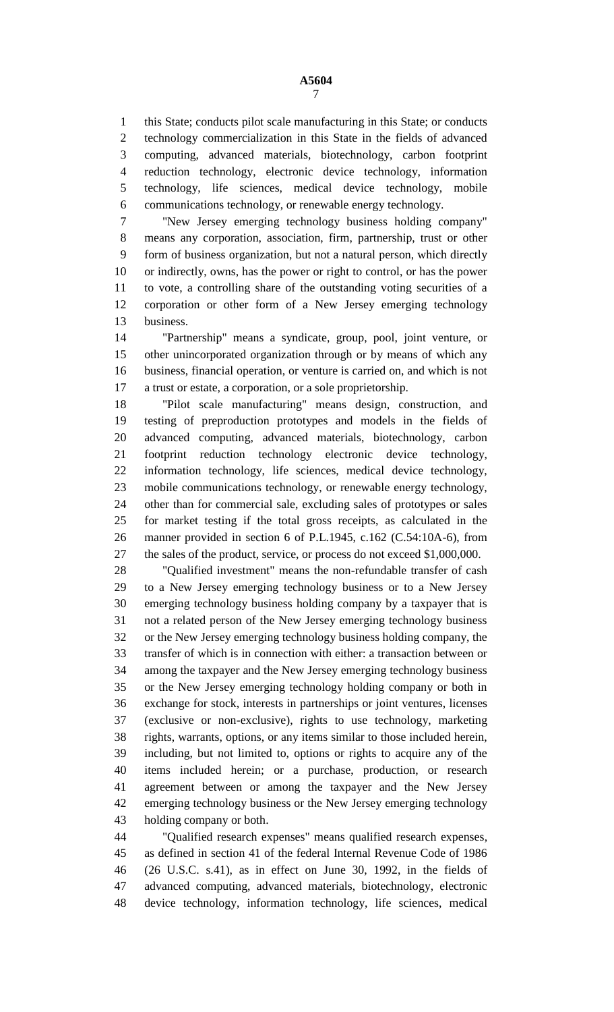this State; conducts pilot scale manufacturing in this State; or conducts technology commercialization in this State in the fields of advanced computing, advanced materials, biotechnology, carbon footprint reduction technology, electronic device technology, information technology, life sciences, medical device technology, mobile communications technology, or renewable energy technology.

 "New Jersey emerging technology business holding company" means any corporation, association, firm, partnership, trust or other form of business organization, but not a natural person, which directly or indirectly, owns, has the power or right to control, or has the power to vote, a controlling share of the outstanding voting securities of a corporation or other form of a New Jersey emerging technology business.

 "Partnership" means a syndicate, group, pool, joint venture, or other unincorporated organization through or by means of which any business, financial operation, or venture is carried on, and which is not a trust or estate, a corporation, or a sole proprietorship.

 "Pilot scale manufacturing" means design, construction, and testing of preproduction prototypes and models in the fields of advanced computing, advanced materials, biotechnology, carbon footprint reduction technology electronic device technology, information technology, life sciences, medical device technology, mobile communications technology, or renewable energy technology, other than for commercial sale, excluding sales of prototypes or sales for market testing if the total gross receipts, as calculated in the manner provided in section 6 of P.L.1945, c.162 (C.54:10A-6), from the sales of the product, service, or process do not exceed \$1,000,000.

 "Qualified investment" means the non-refundable transfer of cash to a New Jersey emerging technology business or to a New Jersey emerging technology business holding company by a taxpayer that is not a related person of the New Jersey emerging technology business or the New Jersey emerging technology business holding company, the transfer of which is in connection with either: a transaction between or among the taxpayer and the New Jersey emerging technology business or the New Jersey emerging technology holding company or both in exchange for stock, interests in partnerships or joint ventures, licenses (exclusive or non-exclusive), rights to use technology, marketing rights, warrants, options, or any items similar to those included herein, including, but not limited to, options or rights to acquire any of the items included herein; or a purchase, production, or research agreement between or among the taxpayer and the New Jersey emerging technology business or the New Jersey emerging technology holding company or both.

 "Qualified research expenses" means qualified research expenses, as defined in section 41 of the federal Internal Revenue Code of 1986 (26 U.S.C. s.41), as in effect on June 30, 1992, in the fields of advanced computing, advanced materials, biotechnology, electronic device technology, information technology, life sciences, medical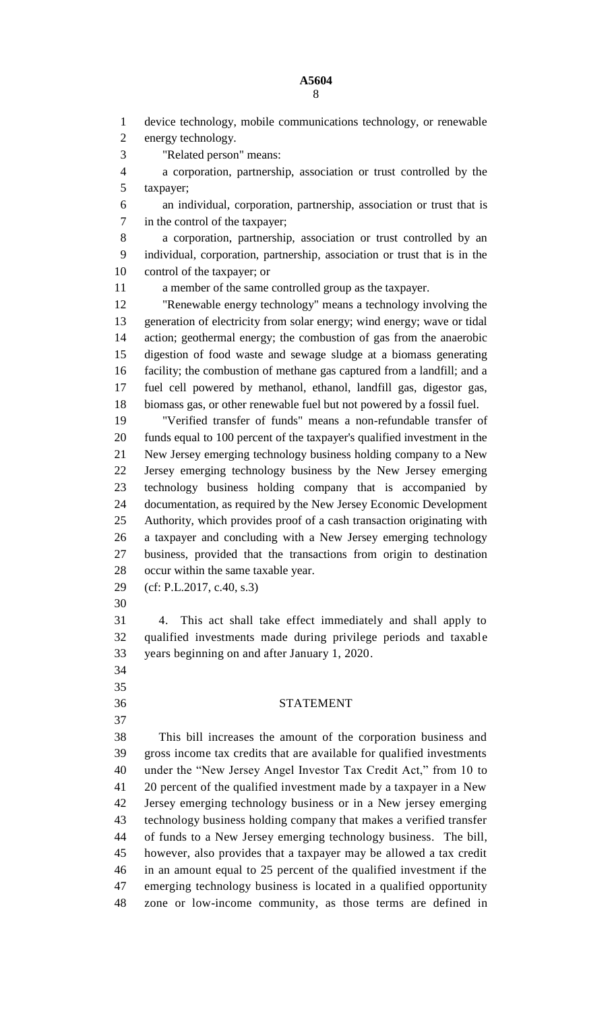## **A5604**

 device technology, mobile communications technology, or renewable energy technology. "Related person" means: a corporation, partnership, association or trust controlled by the taxpayer; an individual, corporation, partnership, association or trust that is in the control of the taxpayer; a corporation, partnership, association or trust controlled by an individual, corporation, partnership, association or trust that is in the control of the taxpayer; or a member of the same controlled group as the taxpayer. "Renewable energy technology" means a technology involving the generation of electricity from solar energy; wind energy; wave or tidal action; geothermal energy; the combustion of gas from the anaerobic digestion of food waste and sewage sludge at a biomass generating facility; the combustion of methane gas captured from a landfill; and a fuel cell powered by methanol, ethanol, landfill gas, digestor gas, biomass gas, or other renewable fuel but not powered by a fossil fuel. "Verified transfer of funds" means a non-refundable transfer of funds equal to 100 percent of the taxpayer's qualified investment in the New Jersey emerging technology business holding company to a New Jersey emerging technology business by the New Jersey emerging technology business holding company that is accompanied by documentation, as required by the New Jersey Economic Development Authority, which provides proof of a cash transaction originating with a taxpayer and concluding with a New Jersey emerging technology business, provided that the transactions from origin to destination occur within the same taxable year. (cf: P.L.2017, c.40, s.3) 4. This act shall take effect immediately and shall apply to qualified investments made during privilege periods and taxable years beginning on and after January 1, 2020. STATEMENT This bill increases the amount of the corporation business and gross income tax credits that are available for qualified investments under the "New Jersey Angel Investor Tax Credit Act," from 10 to 20 percent of the qualified investment made by a taxpayer in a New Jersey emerging technology business or in a New jersey emerging technology business holding company that makes a verified transfer of funds to a New Jersey emerging technology business. The bill, however, also provides that a taxpayer may be allowed a tax credit in an amount equal to 25 percent of the qualified investment if the emerging technology business is located in a qualified opportunity zone or low-income community, as those terms are defined in